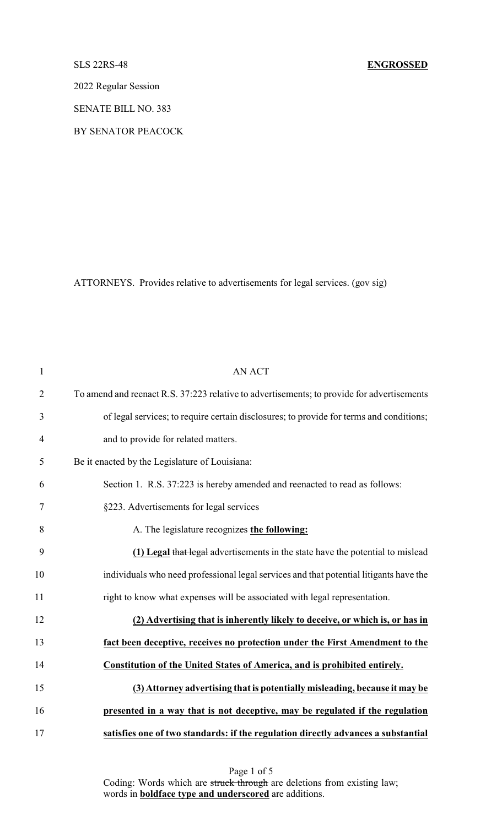## SLS 22RS-48 **ENGROSSED**

2022 Regular Session

SENATE BILL NO. 383

BY SENATOR PEACOCK

ATTORNEYS. Provides relative to advertisements for legal services. (gov sig)

| $\mathbf{1}$   | <b>AN ACT</b>                                                                              |
|----------------|--------------------------------------------------------------------------------------------|
| $\overline{2}$ | To amend and reenact R.S. 37:223 relative to advertisements; to provide for advertisements |
| 3              | of legal services; to require certain disclosures; to provide for terms and conditions;    |
| $\overline{4}$ | and to provide for related matters.                                                        |
| 5              | Be it enacted by the Legislature of Louisiana:                                             |
| 6              | Section 1. R.S. 37:223 is hereby amended and reenacted to read as follows:                 |
| $\tau$         | §223. Advertisements for legal services                                                    |
| 8              | A. The legislature recognizes the following:                                               |
| 9              | (1) Legal that legal advertisements in the state have the potential to mislead             |
| 10             | individuals who need professional legal services and that potential litigants have the     |
| 11             | right to know what expenses will be associated with legal representation.                  |
| 12             | (2) Advertising that is inherently likely to deceive, or which is, or has in               |
| 13             | fact been deceptive, receives no protection under the First Amendment to the               |
| 14             | Constitution of the United States of America, and is prohibited entirely.                  |
| 15             | (3) Attorney advertising that is potentially misleading, because it may be                 |
| 16             | presented in a way that is not deceptive, may be regulated if the regulation               |
| 17             | satisfies one of two standards: if the regulation directly advances a substantial          |

Page 1 of 5 Coding: Words which are struck through are deletions from existing law; words in **boldface type and underscored** are additions.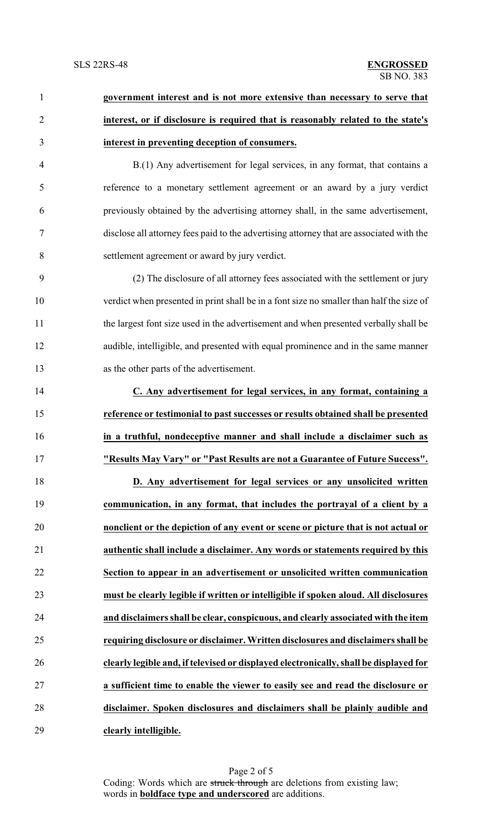| $\mathbf{1}$   | government interest and is not more extensive than necessary to serve that               |
|----------------|------------------------------------------------------------------------------------------|
| $\overline{2}$ | interest, or if disclosure is required that is reasonably related to the state's         |
| 3              | interest in preventing deception of consumers.                                           |
| $\overline{4}$ | B.(1) Any advertisement for legal services, in any format, that contains a               |
| 5              | reference to a monetary settlement agreement or an award by a jury verdict               |
| 6              | previously obtained by the advertising attorney shall, in the same advertisement,        |
| $\tau$         | disclose all attorney fees paid to the advertising attorney that are associated with the |
| 8              | settlement agreement or award by jury verdict.                                           |
| 9              | (2) The disclosure of all attorney fees associated with the settlement or jury           |
| 10             | verdict when presented in print shall be in a font size no smaller than half the size of |
| 11             | the largest font size used in the advertisement and when presented verbally shall be     |
| 12             | audible, intelligible, and presented with equal prominence and in the same manner        |
| 13             | as the other parts of the advertisement.                                                 |
| 14             | C. Any advertisement for legal services, in any format, containing a                     |
| 15             | reference or testimonial to past successes or results obtained shall be presented        |
| 16             | in a truthful, nondeceptive manner and shall include a disclaimer such as                |
| 17             | "Results May Vary" or "Past Results are not a Guarantee of Future Success".              |
| 18             | D. Any advertisement for legal services or any unsolicited written                       |
| 19             | communication, in any format, that includes the portrayal of a client by a               |
| 20             | nonclient or the depiction of any event or scene or picture that is not actual or        |
| 21             | authentic shall include a disclaimer. Any words or statements required by this           |
| 22             | Section to appear in an advertisement or unsolicited written communication               |
| 23             | must be clearly legible if written or intelligible if spoken aloud. All disclosures      |
| 24             | and disclaimers shall be clear, conspicuous, and clearly associated with the item        |
| 25             | requiring disclosure or disclaimer. Written disclosures and disclaimers shall be         |
| 26             | clearly legible and, if televised or displayed electronically, shall be displayed for    |
| 27             | a sufficient time to enable the viewer to easily see and read the disclosure or          |
| 28             | disclaimer. Spoken disclosures and disclaimers shall be plainly audible and              |
| 29             | clearly intelligible.                                                                    |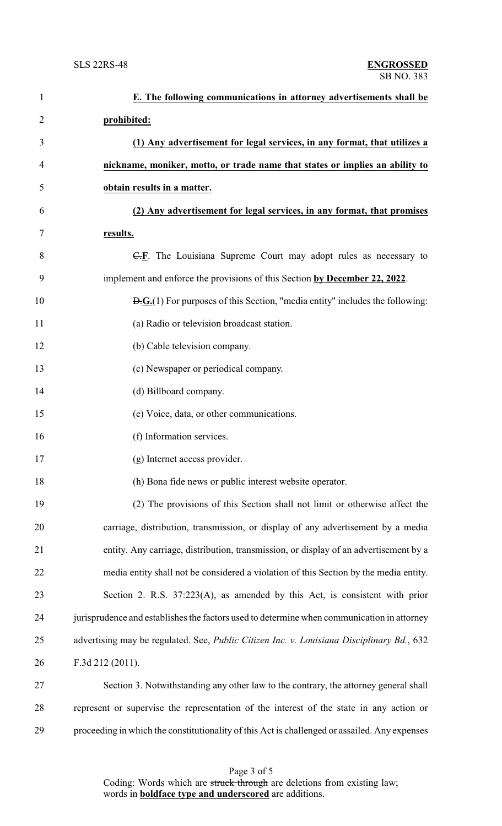| $\mathbf{1}$   | E. The following communications in attorney advertisements shall be                                        |
|----------------|------------------------------------------------------------------------------------------------------------|
| $\overline{2}$ | prohibited:                                                                                                |
| 3              | (1) Any advertisement for legal services, in any format, that utilizes a                                   |
| 4              | nickname, moniker, motto, or trade name that states or implies an ability to                               |
| 5              | obtain results in a matter.                                                                                |
| 6              | (2) Any advertisement for legal services, in any format, that promises                                     |
| 7              | results.                                                                                                   |
| 8              | $\overline{C,E}$ . The Louisiana Supreme Court may adopt rules as necessary to                             |
| 9              | implement and enforce the provisions of this Section by December 22, 2022.                                 |
| 10             | $\overline{D}$ . $\overline{G}$ . (1) For purposes of this Section, "media entity" includes the following: |
| 11             | (a) Radio or television broadcast station.                                                                 |
| 12             | (b) Cable television company.                                                                              |
| 13             | (c) Newspaper or periodical company.                                                                       |
| 14             | (d) Billboard company.                                                                                     |
| 15             | (e) Voice, data, or other communications.                                                                  |
| 16             | (f) Information services.                                                                                  |
| 17             | (g) Internet access provider.                                                                              |
| 18             | (h) Bona fide news or public interest website operator.                                                    |
| 19             | (2) The provisions of this Section shall not limit or otherwise affect the                                 |
| 20             | carriage, distribution, transmission, or display of any advertisement by a media                           |
| 21             | entity. Any carriage, distribution, transmission, or display of an advertisement by a                      |
| 22             | media entity shall not be considered a violation of this Section by the media entity.                      |
| 23             | Section 2. R.S. 37:223(A), as amended by this Act, is consistent with prior                                |
| 24             | jurisprudence and establishes the factors used to determine when communication in attorney                 |
| 25             | advertising may be regulated. See, Public Citizen Inc. v. Louisiana Disciplinary Bd., 632                  |
| 26             | F.3d 212 (2011).                                                                                           |
| 27             | Section 3. Notwithstanding any other law to the contrary, the attorney general shall                       |
| 28             | represent or supervise the representation of the interest of the state in any action or                    |
| 29             | proceeding in which the constitutionality of this Act is challenged or assailed. Any expenses              |

Page 3 of 5 Coding: Words which are struck through are deletions from existing law; words in **boldface type and underscored** are additions.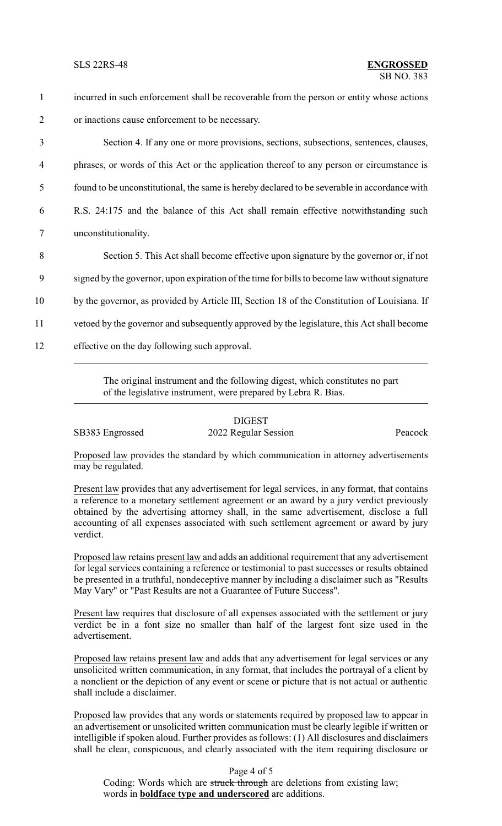incurred in such enforcement shall be recoverable from the person or entity whose actions or inactions cause enforcement to be necessary. Section 4. If any one or more provisions, sections, subsections, sentences, clauses, phrases, or words of this Act or the application thereof to any person or circumstance is found to be unconstitutional, the same is hereby declared to be severable in accordance with R.S. 24:175 and the balance of this Act shall remain effective notwithstanding such unconstitutionality. Section 5. This Act shall become effective upon signature by the governor or, if not signed by the governor, upon expiration of the time for bills to become law without signature by the governor, as provided by Article III, Section 18 of the Constitution of Louisiana. If vetoed by the governor and subsequently approved by the legislature, this Act shall become effective on the day following such approval.

> The original instrument and the following digest, which constitutes no part of the legislative instrument, were prepared by Lebra R. Bias.

## DIGEST

SB383 Engrossed 2022 Regular Session Peacock

Proposed law provides the standard by which communication in attorney advertisements may be regulated.

Present law provides that any advertisement for legal services, in any format, that contains a reference to a monetary settlement agreement or an award by a jury verdict previously obtained by the advertising attorney shall, in the same advertisement, disclose a full accounting of all expenses associated with such settlement agreement or award by jury verdict.

Proposed law retains present law and adds an additional requirement that any advertisement for legal services containing a reference or testimonial to past successes or results obtained be presented in a truthful, nondeceptive manner by including a disclaimer such as "Results May Vary" or "Past Results are not a Guarantee of Future Success".

Present law requires that disclosure of all expenses associated with the settlement or jury verdict be in a font size no smaller than half of the largest font size used in the advertisement.

Proposed law retains present law and adds that any advertisement for legal services or any unsolicited written communication, in any format, that includes the portrayal of a client by a nonclient or the depiction of any event or scene or picture that is not actual or authentic shall include a disclaimer.

Proposed law provides that any words or statements required by proposed law to appear in an advertisement or unsolicited written communication must be clearly legible if written or intelligible if spoken aloud. Further provides as follows: (1) All disclosures and disclaimers shall be clear, conspicuous, and clearly associated with the item requiring disclosure or

Page 4 of 5

Coding: Words which are struck through are deletions from existing law; words in **boldface type and underscored** are additions.